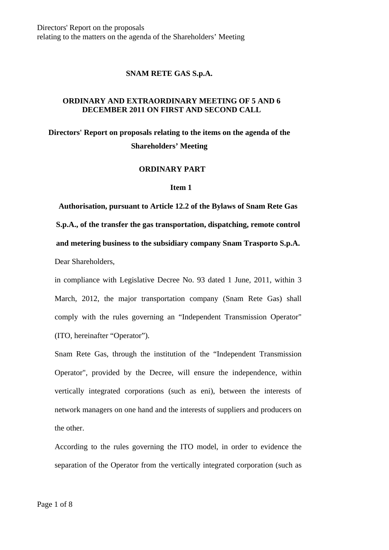Directors' Report on the proposals relating to the matters on the agenda of the Shareholders' Meeting

## **SNAM RETE GAS S.p.A.**

## **ORDINARY AND EXTRAORDINARY MEETING OF 5 AND 6 DECEMBER 2011 ON FIRST AND SECOND CALL**

# **Directors' Report on proposals relating to the items on the agenda of the Shareholders' Meeting**

#### **ORDINARY PART**

#### **Item 1**

**Authorisation, pursuant to Article 12.2 of the Bylaws of Snam Rete Gas S.p.A., of the transfer the gas transportation, dispatching, remote control and metering business to the subsidiary company Snam Trasporto S.p.A.** Dear Shareholders,

in compliance with Legislative Decree No. 93 dated 1 June, 2011, within 3 March, 2012, the major transportation company (Snam Rete Gas) shall comply with the rules governing an "Independent Transmission Operator" (ITO, hereinafter "Operator").

Snam Rete Gas, through the institution of the "Independent Transmission Operator", provided by the Decree, will ensure the independence, within vertically integrated corporations (such as eni), between the interests of network managers on one hand and the interests of suppliers and producers on the other.

According to the rules governing the ITO model, in order to evidence the separation of the Operator from the vertically integrated corporation (such as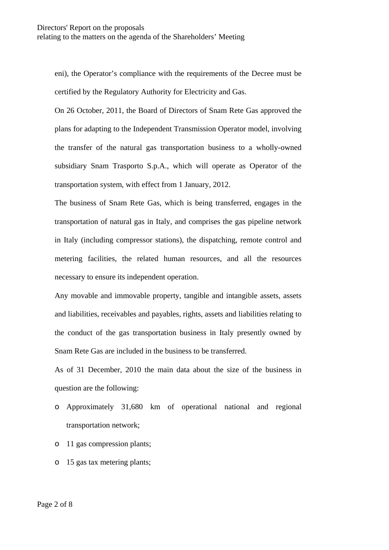eni), the Operator's compliance with the requirements of the Decree must be certified by the Regulatory Authority for Electricity and Gas.

On 26 October, 2011, the Board of Directors of Snam Rete Gas approved the plans for adapting to the Independent Transmission Operator model, involving the transfer of the natural gas transportation business to a wholly-owned subsidiary Snam Trasporto S.p.A., which will operate as Operator of the transportation system, with effect from 1 January, 2012.

The business of Snam Rete Gas, which is being transferred, engages in the transportation of natural gas in Italy, and comprises the gas pipeline network in Italy (including compressor stations), the dispatching, remote control and metering facilities, the related human resources, and all the resources necessary to ensure its independent operation.

Any movable and immovable property, tangible and intangible assets, assets and liabilities, receivables and payables, rights, assets and liabilities relating to the conduct of the gas transportation business in Italy presently owned by Snam Rete Gas are included in the business to be transferred.

As of 31 December, 2010 the main data about the size of the business in question are the following:

- o Approximately 31,680 km of operational national and regional transportation network;
- o 11 gas compression plants;
- o 15 gas tax metering plants;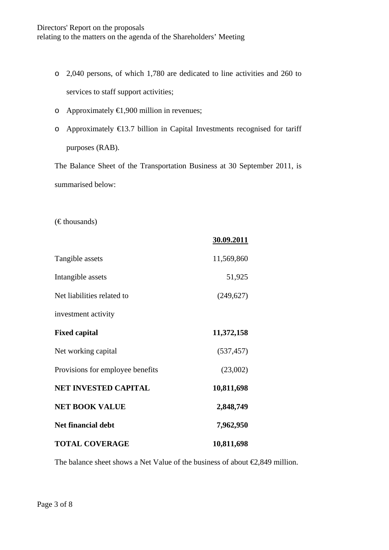- o 2,040 persons, of which 1,780 are dedicated to line activities and 260 to services to staff support activities;
- o Approximately €1,900 million in revenues;
- o Approximately €13.7 billion in Capital Investments recognised for tariff purposes (RAB).

The Balance Sheet of the Transportation Business at 30 September 2011, is summarised below:

 $(\in$ thousands)

|                                  | 30.09.2011 |
|----------------------------------|------------|
| Tangible assets                  | 11,569,860 |
| Intangible assets                | 51,925     |
| Net liabilities related to       | (249, 627) |
| investment activity              |            |
| <b>Fixed capital</b>             | 11,372,158 |
| Net working capital              | (537, 457) |
| Provisions for employee benefits | (23,002)   |
| <b>NET INVESTED CAPITAL</b>      | 10,811,698 |
| <b>NET BOOK VALUE</b>            | 2,848,749  |
| <b>Net financial debt</b>        | 7,962,950  |
| <b>TOTAL COVERAGE</b>            | 10,811,698 |

The balance sheet shows a Net Value of the business of about  $\epsilon$ 2,849 million.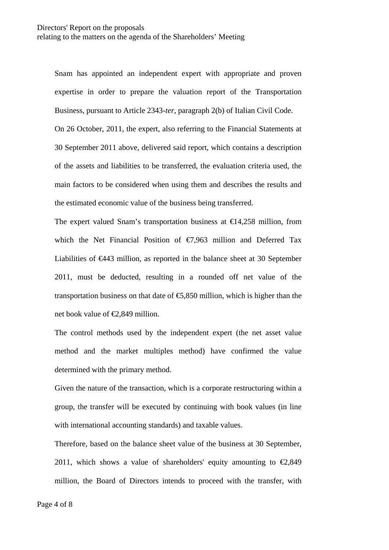Snam has appointed an independent expert with appropriate and proven expertise in order to prepare the valuation report of the Transportation Business, pursuant to Article 2343-*ter*, paragraph 2(b) of Italian Civil Code. On 26 October, 2011, the expert, also referring to the Financial Statements at 30 September 2011 above, delivered said report, which contains a description

of the assets and liabilities to be transferred, the evaluation criteria used, the main factors to be considered when using them and describes the results and the estimated economic value of the business being transferred.

The expert valued Snam's transportation business at  $\epsilon$ 14,258 million, from which the Net Financial Position of  $\epsilon$ 7,963 million and Deferred Tax Liabilities of €443 million, as reported in the balance sheet at 30 September 2011, must be deducted, resulting in a rounded off net value of the transportation business on that date of  $\epsilon$ ,850 million, which is higher than the net book value of €2,849 million.

The control methods used by the independent expert (the net asset value method and the market multiples method) have confirmed the value determined with the primary method.

Given the nature of the transaction, which is a corporate restructuring within a group, the transfer will be executed by continuing with book values (in line with international accounting standards) and taxable values.

Therefore, based on the balance sheet value of the business at 30 September, 2011, which shows a value of shareholders' equity amounting to  $\epsilon$ 2,849 million, the Board of Directors intends to proceed with the transfer, with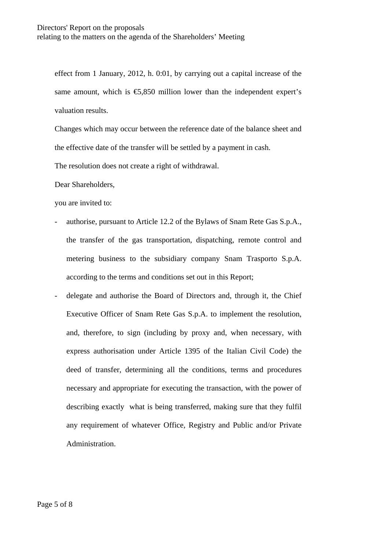effect from 1 January, 2012, h. 0:01, by carrying out a capital increase of the same amount, which is  $\epsilon$ 5,850 million lower than the independent expert's valuation results.

Changes which may occur between the reference date of the balance sheet and the effective date of the transfer will be settled by a payment in cash.

The resolution does not create a right of withdrawal.

Dear Shareholders,

you are invited to:

- authorise, pursuant to Article 12.2 of the Bylaws of Snam Rete Gas S.p.A., the transfer of the gas transportation, dispatching, remote control and metering business to the subsidiary company Snam Trasporto S.p.A. according to the terms and conditions set out in this Report;
- delegate and authorise the Board of Directors and, through it, the Chief Executive Officer of Snam Rete Gas S.p.A. to implement the resolution, and, therefore, to sign (including by proxy and, when necessary, with express authorisation under Article 1395 of the Italian Civil Code) the deed of transfer, determining all the conditions, terms and procedures necessary and appropriate for executing the transaction, with the power of describing exactly what is being transferred, making sure that they fulfil any requirement of whatever Office, Registry and Public and/or Private Administration.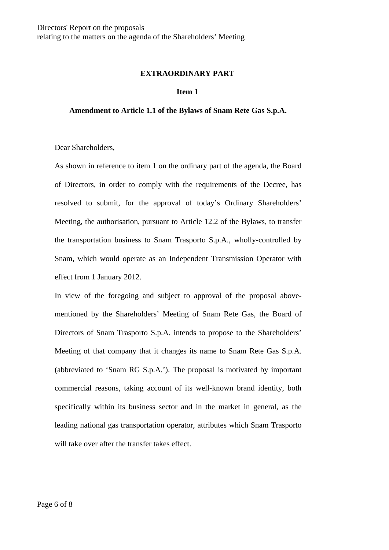#### **EXTRAORDINARY PART**

#### **Item 1**

### **Amendment to Article 1.1 of the Bylaws of Snam Rete Gas S.p.A.**

Dear Shareholders,

As shown in reference to item 1 on the ordinary part of the agenda, the Board of Directors, in order to comply with the requirements of the Decree, has resolved to submit, for the approval of today's Ordinary Shareholders' Meeting, the authorisation, pursuant to Article 12.2 of the Bylaws, to transfer the transportation business to Snam Trasporto S.p.A., wholly-controlled by Snam, which would operate as an Independent Transmission Operator with effect from 1 January 2012.

In view of the foregoing and subject to approval of the proposal abovementioned by the Shareholders' Meeting of Snam Rete Gas, the Board of Directors of Snam Trasporto S.p.A. intends to propose to the Shareholders' Meeting of that company that it changes its name to Snam Rete Gas S.p.A. (abbreviated to 'Snam RG S.p.A.'). The proposal is motivated by important commercial reasons, taking account of its well-known brand identity, both specifically within its business sector and in the market in general, as the leading national gas transportation operator, attributes which Snam Trasporto will take over after the transfer takes effect.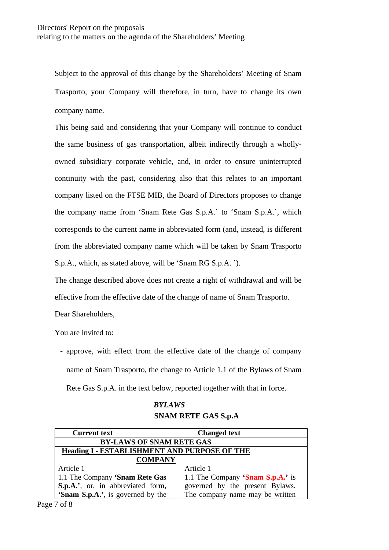Subject to the approval of this change by the Shareholders' Meeting of Snam Trasporto, your Company will therefore, in turn, have to change its own company name.

This being said and considering that your Company will continue to conduct the same business of gas transportation, albeit indirectly through a whollyowned subsidiary corporate vehicle, and, in order to ensure uninterrupted continuity with the past, considering also that this relates to an important company listed on the FTSE MIB, the Board of Directors proposes to change the company name from 'Snam Rete Gas S.p.A.' to 'Snam S.p.A.', which corresponds to the current name in abbreviated form (and, instead, is different from the abbreviated company name which will be taken by Snam Trasporto S.p.A., which, as stated above, will be 'Snam RG S.p.A. ').

The change described above does not create a right of withdrawal and will be effective from the effective date of the change of name of Snam Trasporto.

Dear Shareholders,

You are invited to:

- approve, with effect from the effective date of the change of company name of Snam Trasporto, the change to Article 1.1 of the Bylaws of Snam Rete Gas S.p.A. in the text below, reported together with that in force.

# *BYLAWS*

# **SNAM RETE GAS S.p.A**

| <b>Current text</b>                                 | <b>Changed text</b>              |  |
|-----------------------------------------------------|----------------------------------|--|
| <b>BY-LAWS OF SNAM RETE GAS</b>                     |                                  |  |
| <b>Heading I - ESTABLISHMENT AND PURPOSE OF THE</b> |                                  |  |
| <b>COMPANY</b>                                      |                                  |  |
| Article 1                                           | Article 1                        |  |
| 1.1 The Company 'Snam Rete Gas                      | 1.1 The Company 'Snam S.p.A.' is |  |
| S.p.A.', or, in abbreviated form,                   | governed by the present Bylaws.  |  |
| 'Snam S.p.A.', is governed by the                   | The company name may be written  |  |